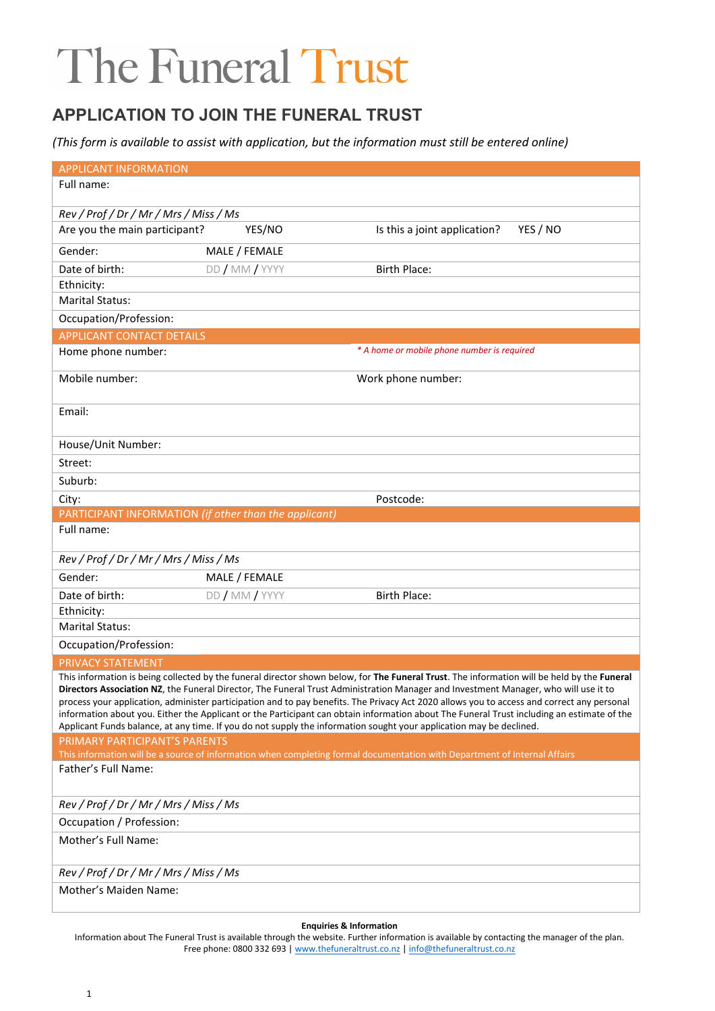### **APPLICATION TO JOIN THE FUNERAL TRUST**

*(This form is available to assist with application, but the information must still be entered online)*

| <b>APPLICANT INFORMATION</b>                                                                                                                                                                                                                                                                                                                                                                                                                                                                                                                                                                                                                                                                          |                |                                             |  |  |  |
|-------------------------------------------------------------------------------------------------------------------------------------------------------------------------------------------------------------------------------------------------------------------------------------------------------------------------------------------------------------------------------------------------------------------------------------------------------------------------------------------------------------------------------------------------------------------------------------------------------------------------------------------------------------------------------------------------------|----------------|---------------------------------------------|--|--|--|
| Full name:                                                                                                                                                                                                                                                                                                                                                                                                                                                                                                                                                                                                                                                                                            |                |                                             |  |  |  |
| Rev / Prof / Dr / Mr / Mrs / Miss / Ms                                                                                                                                                                                                                                                                                                                                                                                                                                                                                                                                                                                                                                                                |                |                                             |  |  |  |
| Are you the main participant?                                                                                                                                                                                                                                                                                                                                                                                                                                                                                                                                                                                                                                                                         | YES/NO         | Is this a joint application?<br>YES / NO    |  |  |  |
| Gender:                                                                                                                                                                                                                                                                                                                                                                                                                                                                                                                                                                                                                                                                                               | MALE / FEMALE  |                                             |  |  |  |
| Date of birth:                                                                                                                                                                                                                                                                                                                                                                                                                                                                                                                                                                                                                                                                                        | DD / MM / YYYY | <b>Birth Place:</b>                         |  |  |  |
| Ethnicity:                                                                                                                                                                                                                                                                                                                                                                                                                                                                                                                                                                                                                                                                                            |                |                                             |  |  |  |
| <b>Marital Status:</b>                                                                                                                                                                                                                                                                                                                                                                                                                                                                                                                                                                                                                                                                                |                |                                             |  |  |  |
| Occupation/Profession:                                                                                                                                                                                                                                                                                                                                                                                                                                                                                                                                                                                                                                                                                |                |                                             |  |  |  |
| <b>APPLICANT CONTACT DETAILS</b>                                                                                                                                                                                                                                                                                                                                                                                                                                                                                                                                                                                                                                                                      |                |                                             |  |  |  |
| Home phone number:                                                                                                                                                                                                                                                                                                                                                                                                                                                                                                                                                                                                                                                                                    |                | * A home or mobile phone number is required |  |  |  |
| Mobile number:                                                                                                                                                                                                                                                                                                                                                                                                                                                                                                                                                                                                                                                                                        |                | Work phone number:                          |  |  |  |
| Email:                                                                                                                                                                                                                                                                                                                                                                                                                                                                                                                                                                                                                                                                                                |                |                                             |  |  |  |
| House/Unit Number:                                                                                                                                                                                                                                                                                                                                                                                                                                                                                                                                                                                                                                                                                    |                |                                             |  |  |  |
| Street:                                                                                                                                                                                                                                                                                                                                                                                                                                                                                                                                                                                                                                                                                               |                |                                             |  |  |  |
| Suburb:                                                                                                                                                                                                                                                                                                                                                                                                                                                                                                                                                                                                                                                                                               |                |                                             |  |  |  |
| City:                                                                                                                                                                                                                                                                                                                                                                                                                                                                                                                                                                                                                                                                                                 |                | Postcode:                                   |  |  |  |
| PARTICIPANT INFORMATION (if other than the applicant)                                                                                                                                                                                                                                                                                                                                                                                                                                                                                                                                                                                                                                                 |                |                                             |  |  |  |
| Full name:                                                                                                                                                                                                                                                                                                                                                                                                                                                                                                                                                                                                                                                                                            |                |                                             |  |  |  |
| Rev / Prof / Dr / Mr / Mrs / Miss / Ms                                                                                                                                                                                                                                                                                                                                                                                                                                                                                                                                                                                                                                                                |                |                                             |  |  |  |
| Gender:                                                                                                                                                                                                                                                                                                                                                                                                                                                                                                                                                                                                                                                                                               | MALE / FEMALE  |                                             |  |  |  |
| Date of birth:                                                                                                                                                                                                                                                                                                                                                                                                                                                                                                                                                                                                                                                                                        | DD / MM / YYYY | <b>Birth Place:</b>                         |  |  |  |
| Ethnicity:                                                                                                                                                                                                                                                                                                                                                                                                                                                                                                                                                                                                                                                                                            |                |                                             |  |  |  |
| <b>Marital Status:</b>                                                                                                                                                                                                                                                                                                                                                                                                                                                                                                                                                                                                                                                                                |                |                                             |  |  |  |
| Occupation/Profession:                                                                                                                                                                                                                                                                                                                                                                                                                                                                                                                                                                                                                                                                                |                |                                             |  |  |  |
| <b>PRIVACY STATEMENT</b>                                                                                                                                                                                                                                                                                                                                                                                                                                                                                                                                                                                                                                                                              |                |                                             |  |  |  |
| This information is being collected by the funeral director shown below, for The Funeral Trust. The information will be held by the Funeral<br>Directors Association NZ, the Funeral Director, The Funeral Trust Administration Manager and Investment Manager, who will use it to<br>process your application, administer participation and to pay benefits. The Privacy Act 2020 allows you to access and correct any personal<br>information about you. Either the Applicant or the Participant can obtain information about The Funeral Trust including an estimate of the<br>Applicant Funds balance, at any time. If you do not supply the information sought your application may be declined. |                |                                             |  |  |  |
| PRIMARY PARTICIPANT'S PARENTS                                                                                                                                                                                                                                                                                                                                                                                                                                                                                                                                                                                                                                                                         |                |                                             |  |  |  |
| This information will be a source of information when completing formal documentation with Department of Internal Affairs<br>Father's Full Name:                                                                                                                                                                                                                                                                                                                                                                                                                                                                                                                                                      |                |                                             |  |  |  |
|                                                                                                                                                                                                                                                                                                                                                                                                                                                                                                                                                                                                                                                                                                       |                |                                             |  |  |  |
| Rev / Prof / Dr / Mr / Mrs / Miss / Ms                                                                                                                                                                                                                                                                                                                                                                                                                                                                                                                                                                                                                                                                |                |                                             |  |  |  |
| Occupation / Profession:                                                                                                                                                                                                                                                                                                                                                                                                                                                                                                                                                                                                                                                                              |                |                                             |  |  |  |
| Mother's Full Name:                                                                                                                                                                                                                                                                                                                                                                                                                                                                                                                                                                                                                                                                                   |                |                                             |  |  |  |
| Rev / Prof / Dr / Mr / Mrs / Miss / Ms                                                                                                                                                                                                                                                                                                                                                                                                                                                                                                                                                                                                                                                                |                |                                             |  |  |  |
| Mother's Maiden Name:                                                                                                                                                                                                                                                                                                                                                                                                                                                                                                                                                                                                                                                                                 |                |                                             |  |  |  |

#### **Enquiries & Information**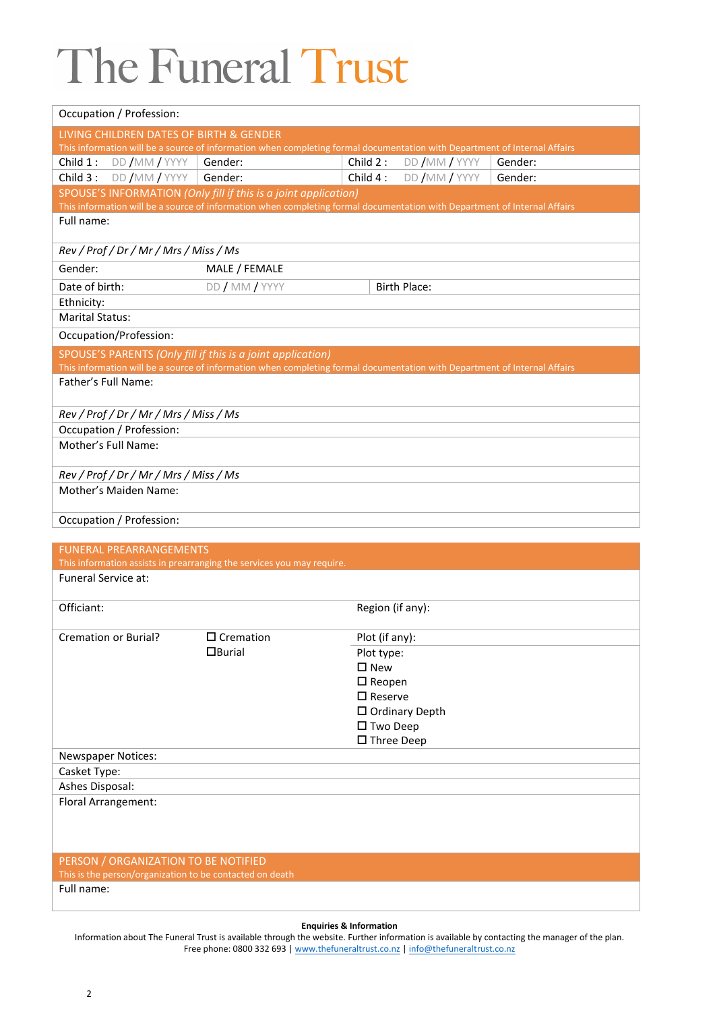| Occupation / Profession:   |                                        |                                                                                                                           |                      |                          |         |  |
|----------------------------|----------------------------------------|---------------------------------------------------------------------------------------------------------------------------|----------------------|--------------------------|---------|--|
|                            |                                        | LIVING CHILDREN DATES OF BIRTH & GENDER                                                                                   |                      |                          |         |  |
|                            |                                        | This information will be a source of information when completing formal documentation with Department of Internal Affairs |                      |                          |         |  |
|                            | Child 1: DD / MM / YYYY   Gender:      |                                                                                                                           | Child 2:             | DD /MM / YYYY            | Gender: |  |
|                            | Child $3:$ DD /MM / YYYY               | Gender:                                                                                                                   |                      | Child $4:$ DD /MM / YYYY | Gender: |  |
|                            |                                        | SPOUSE'S INFORMATION (Only fill if this is a joint application)                                                           |                      |                          |         |  |
|                            |                                        | This information will be a source of information when completing formal documentation with Department of Internal Affairs |                      |                          |         |  |
| Full name:                 |                                        |                                                                                                                           |                      |                          |         |  |
|                            |                                        |                                                                                                                           |                      |                          |         |  |
|                            | Rev / Prof / Dr / Mr / Mrs / Miss / Ms |                                                                                                                           |                      |                          |         |  |
| Gender:                    |                                        | MALE / FEMALE                                                                                                             |                      |                          |         |  |
| Date of birth:             |                                        | DD / MM / YYYY                                                                                                            |                      | <b>Birth Place:</b>      |         |  |
| Ethnicity:                 |                                        |                                                                                                                           |                      |                          |         |  |
| <b>Marital Status:</b>     |                                        |                                                                                                                           |                      |                          |         |  |
|                            | Occupation/Profession:                 |                                                                                                                           |                      |                          |         |  |
|                            |                                        | SPOUSE'S PARENTS (Only fill if this is a joint application)                                                               |                      |                          |         |  |
|                            |                                        | This information will be a source of information when completing formal documentation with Department of Internal Affairs |                      |                          |         |  |
| Father's Full Name:        |                                        |                                                                                                                           |                      |                          |         |  |
|                            |                                        |                                                                                                                           |                      |                          |         |  |
|                            | Rev / Prof / Dr / Mr / Mrs / Miss / Ms |                                                                                                                           |                      |                          |         |  |
|                            | Occupation / Profession:               |                                                                                                                           |                      |                          |         |  |
| Mother's Full Name:        |                                        |                                                                                                                           |                      |                          |         |  |
|                            |                                        |                                                                                                                           |                      |                          |         |  |
|                            | Rev / Prof / Dr / Mr / Mrs / Miss / Ms |                                                                                                                           |                      |                          |         |  |
|                            | Mother's Maiden Name:                  |                                                                                                                           |                      |                          |         |  |
|                            | Occupation / Profession:               |                                                                                                                           |                      |                          |         |  |
|                            |                                        |                                                                                                                           |                      |                          |         |  |
|                            | <b>FUNERAL PREARRANGEMENTS</b>         |                                                                                                                           |                      |                          |         |  |
|                            |                                        | This information assists in prearranging the services you may require.                                                    |                      |                          |         |  |
| <b>Funeral Service at:</b> |                                        |                                                                                                                           |                      |                          |         |  |
|                            |                                        |                                                                                                                           |                      |                          |         |  |
| Officiant:                 |                                        |                                                                                                                           | Region (if any):     |                          |         |  |
| Cremation or Burial?       |                                        | $\overline{\Box}$ Cremation                                                                                               | Plot (if any):       |                          |         |  |
|                            |                                        | $\Box$ Burial                                                                                                             | Plot type:           |                          |         |  |
|                            |                                        |                                                                                                                           | $\square$ New        |                          |         |  |
|                            |                                        |                                                                                                                           | $\Box$ Reopen        |                          |         |  |
|                            |                                        |                                                                                                                           | $\square$ Reserve    |                          |         |  |
|                            |                                        |                                                                                                                           |                      | □ Ordinary Depth         |         |  |
|                            |                                        |                                                                                                                           | □ Two Deep           |                          |         |  |
|                            |                                        |                                                                                                                           | $\square$ Three Deep |                          |         |  |
| <b>Newspaper Notices:</b>  |                                        |                                                                                                                           |                      |                          |         |  |
| Casket Type:               |                                        |                                                                                                                           |                      |                          |         |  |
| Ashes Disposal:            |                                        |                                                                                                                           |                      |                          |         |  |
| Floral Arrangement:        |                                        |                                                                                                                           |                      |                          |         |  |
|                            |                                        |                                                                                                                           |                      |                          |         |  |
|                            |                                        |                                                                                                                           |                      |                          |         |  |
|                            |                                        |                                                                                                                           |                      |                          |         |  |
|                            | PERSON / ORGANIZATION TO BE NOTIFIED   |                                                                                                                           |                      |                          |         |  |

This is the person/organization to be contacted on death

Full name:

### **Enquiries & Information**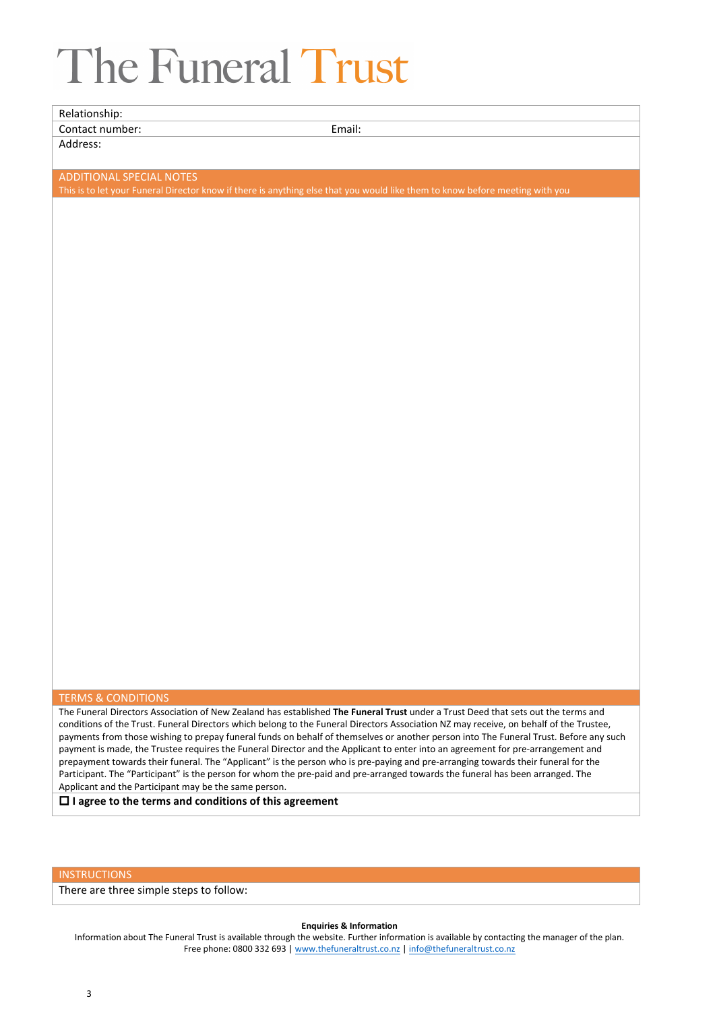Relationship: Contact number: Email: Email: Email: Email: Email: Email: Email: Email: Email: Email: Email: Email: Email: Email: Email: Email: Email: Email: Email: Email: Email: Email: Email: Email: Email: Email: Email: Email: Email: Ema Address: ADDITIONAL SPECIAL NOTES This is to let your Funeral Director know if there is anything else that you would like them to know before meeting with you

#### TERMS & CONDITIONS

The Funeral Directors Association of New Zealand has established **The Funeral Trust** under a Trust Deed that sets out the terms and conditions of the Trust. Funeral Directors which belong to the Funeral Directors Association NZ may receive, on behalf of the Trustee, payments from those wishing to prepay funeral funds on behalf of themselves or another person into The Funeral Trust. Before any such payment is made, the Trustee requires the Funeral Director and the Applicant to enter into an agreement for pre-arrangement and prepayment towards their funeral. The "Applicant" is the person who is pre-paying and pre-arranging towards their funeral for the Participant. The "Participant" is the person for whom the pre-paid and pre-arranged towards the funeral has been arranged. The Applicant and the Participant may be the same person.

**I agree to the terms and conditions of this agreement**

### **INSTRUCTIONS**

There are three simple steps to follow:

#### **Enquiries & Information**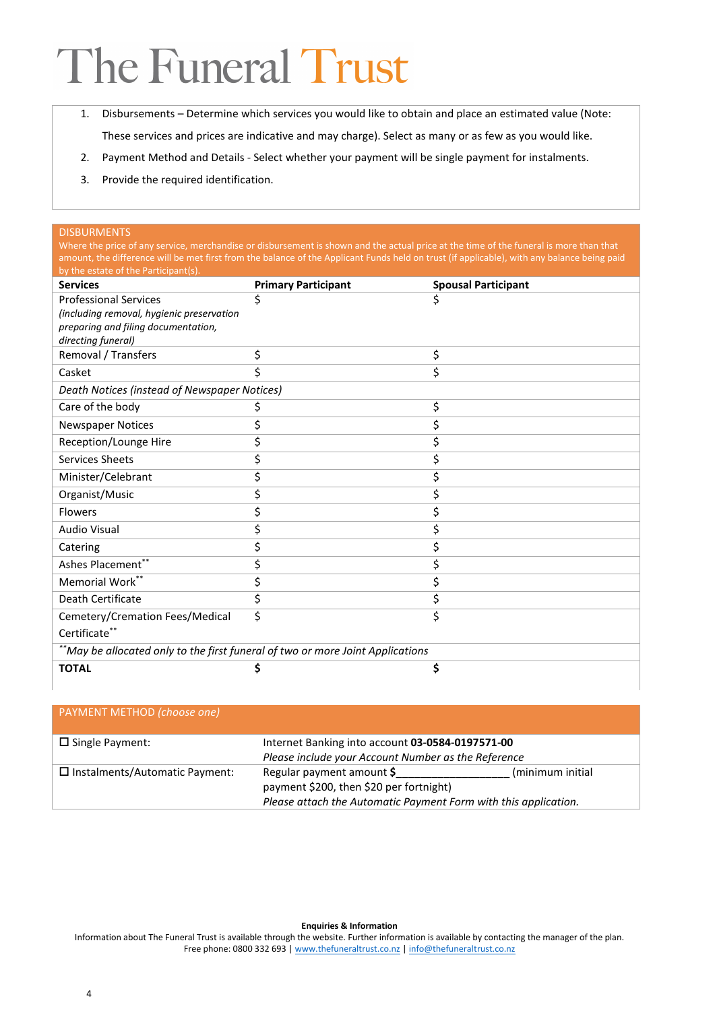- 1. Disbursements Determine which services you would like to obtain and place an estimated value (Note: These services and prices are indicative and may charge). Select as many or as few as you would like.
- 2. Payment Method and Details Select whether your payment will be single payment for instalments.
- 3. Provide the required identification.

### DISBURMENTS

Where the price of any service, merchandise or disbursement is shown and the actual price at the time of the funeral is more than that amount, the difference will be met first from the balance of the Applicant Funds held on trust (if applicable), with any balance being paid by the estate of the Participant(s)

| <b>Services</b>                                                                | <b>Primary Participant</b> | <b>Spousal Participant</b> |  |  |  |
|--------------------------------------------------------------------------------|----------------------------|----------------------------|--|--|--|
| <b>Professional Services</b>                                                   | \$                         |                            |  |  |  |
| (including removal, hygienic preservation                                      |                            |                            |  |  |  |
| preparing and filing documentation,                                            |                            |                            |  |  |  |
| directing funeral)                                                             |                            |                            |  |  |  |
| Removal / Transfers                                                            | \$                         | \$                         |  |  |  |
| Casket                                                                         | \$                         | \$                         |  |  |  |
| Death Notices (instead of Newspaper Notices)                                   |                            |                            |  |  |  |
| Care of the body                                                               | \$                         | \$                         |  |  |  |
| <b>Newspaper Notices</b>                                                       | \$                         | \$                         |  |  |  |
| Reception/Lounge Hire                                                          | \$                         | \$                         |  |  |  |
| Services Sheets                                                                | \$                         | Ś.                         |  |  |  |
| Minister/Celebrant                                                             | \$                         | Ś                          |  |  |  |
| Organist/Music                                                                 | \$                         | \$                         |  |  |  |
| Flowers                                                                        | \$                         | \$                         |  |  |  |
| <b>Audio Visual</b>                                                            | \$                         | \$                         |  |  |  |
| Catering                                                                       | \$                         | \$                         |  |  |  |
| Ashes Placement**                                                              | \$                         | \$                         |  |  |  |
| Memorial Work**                                                                | \$                         | \$                         |  |  |  |
| Death Certificate                                                              | \$                         | \$                         |  |  |  |
| Cemetery/Cremation Fees/Medical                                                | \$                         | \$                         |  |  |  |
| Certificate**                                                                  |                            |                            |  |  |  |
| **May be allocated only to the first funeral of two or more Joint Applications |                            |                            |  |  |  |
| <b>TOTAL</b>                                                                   |                            | \$                         |  |  |  |
|                                                                                |                            |                            |  |  |  |

### PAYMENT METHOD *(choose one)*

| $\Box$ Single Payment:                | Internet Banking into account 03-0584-0197571-00<br>Please include your Account Number as the Reference    |                  |  |
|---------------------------------------|------------------------------------------------------------------------------------------------------------|------------------|--|
|                                       |                                                                                                            |                  |  |
| $\Box$ Instalments/Automatic Payment: | Regular payment amount \$                                                                                  | (minimum initial |  |
|                                       | payment \$200, then \$20 per fortnight)<br>Please attach the Automatic Payment Form with this application. |                  |  |
|                                       |                                                                                                            |                  |  |

#### **Enquiries & Information**